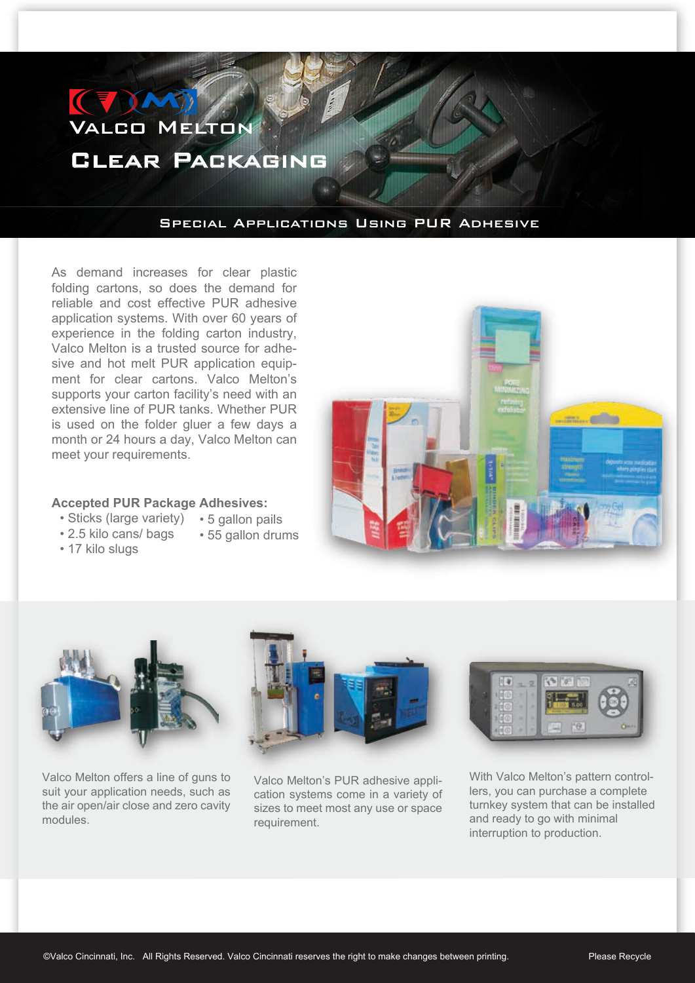## Valco Melton Clear Packaging

## Special Applications Using PUR Adhesive

As demand increases for clear plastic folding cartons, so does the demand for reliable and cost effective PUR adhesive application systems. With over 60 years of experience in the folding carton industry, Valco Melton is a trusted source for adhesive and hot melt PUR application equipment for clear cartons. Valco Melton's supports your carton facility's need with an extensive line of PUR tanks. Whether PUR is used on the folder gluer a few days a month or 24 hours a day, Valco Melton can meet your requirements.

## **Accepted PUR Package Adhesives:**

• 55 gallon drums

- Sticks (large variety) 5 gallon pails
- 2.5 kilo cans/ bags
- 17 kilo slugs





Valco Melton offers a line of guns to suit your application needs, such as the air open/air close and zero cavity modules.



Valco Melton's PUR adhesive application systems come in a variety of sizes to meet most any use or space requirement.



With Valco Melton's pattern controllers, you can purchase a complete turnkey system that can be installed and ready to go with minimal interruption to production.